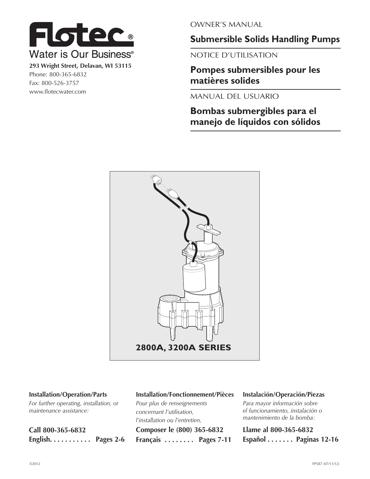

**293 Wright Street, Delavan, WI 53115** Phone: 800-365-6832 Fax: 800-526-3757 www.flotecwater.com

OWNER'S MANUAL

**Submersible Solids Handling Pumps**

NOTICE D'UTILISATION

**Pompes submersibles pour les matières solides**

MANUAL DEL USUARIO

**Bombas submergibles para el manejo de líquidos con sólidos**



#### **Installation/Operation/Parts**

*For further operating, installation, or maintenance assistance:* 

| Call 800-365-6832 |  |
|-------------------|--|
| English Pages 2-6 |  |

#### **Installation/Fonctionnement/Pièces**

*Pour plus de renseignements concernant l'utilisation, l'installation ou l'entretien,* **Composer le (800) 365-6832 Français . . . . . . . . Pages 7-11**

#### **Instalación/Operación/Piezas**

*Para mayor información sobre el funcionamiento, instalación o mantenimiento de la bomba:*

**Llame al 800-365-6832 Español . . . . . . . Paginas 12-16**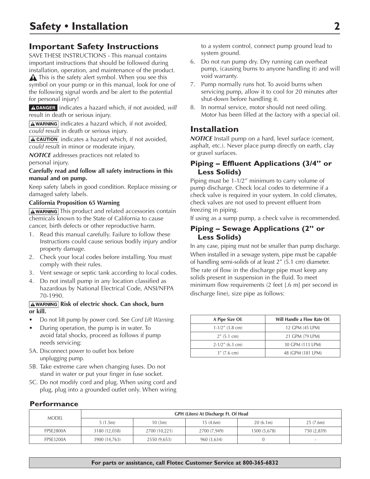# **Important Safety Instructions**

SAVE THESE INSTRUCTIONS - This manual contains important instructions that should be followed during installation, operation, and maintenance of the product.

**A** This is the safety alert symbol. When you see this symbol on your pump or in this manual, look for one of the following signal words and be alert to the potential for personal injury!

A DANGER indicates a hazard which, if not avoided, will result in death or serious injury.

**AWARNING** indicates a hazard which, if not avoided, *could* result in death or serious injury.

 $\sqrt{\text{A CAUTION}}$  indicates a hazard which, if not avoided, *could* result in minor or moderate injury.

*NOTICE* addresses practices not related to personal injury.

#### **Carefully read and follow all safety instructions in this manual and on pump.**

Keep safety labels in good condition. Replace missing or damaged safety labels.

#### **California Proposition 65 Warning**

**AWARNING** This product and related accessories contain chemicals known to the State of California to cause cancer, birth defects or other reproductive harm.

- 1. Read this manual carefully. Failure to follow these Instructions could cause serious bodily injury and/or property damage.
- 2. Check your local codes before installing. You must comply with their rules.
- 3. Vent sewage or septic tank according to local codes.
- 4. Do not install pump in any location classified as hazardous by National Electrical Code, ANSI/NFPA 70-1990.

#### **AWARNING Risk of electric shock. Can shock, burn or kill.**

- Do not lift pump by power cord. See *Cord Lift Warning*.
- During operation, the pump is in water. To avoid fatal shocks, proceed as follows if pump needs servicing:
- 5A. Disconnect power to outlet box before unplugging pump.
- 5B. Take extreme care when changing fuses. Do not stand in water or put your finger in fuse socket.
- 5C. Do not modify cord and plug. When using cord and plug, plug into a grounded outlet only. When wiring

to a system control, connect pump ground lead to system ground.

- 6. Do not run pump dry. Dry running can overheat pump, (causing burns to anyone handling it) and will void warranty.
- 7. Pump normally runs hot. To avoid burns when servicing pump, allow it to cool for 20 minutes after shut-down before handling it.
- 8. In normal service, motor should not need oiling. Motor has been filled at the factory with a special oil.

# **Installation**

*NOTICE* Install pump on a hard, level surface (cement, asphalt, etc.). Never place pump directly on earth, clay or gravel surfaces.

#### **Piping – Effluent Applications (3/4" or Less Solids)**

Piping must be 1-1/2" minimum to carry volume of pump discharge. Check local codes to determine if a check valve is required in your system. In cold climates, check valves are not used to prevent effluent from freezing in piping.

If using as a sump pump, a check valve is recommended.

#### **Piping – Sewage Applications (2" or Less Solids)**

In any case, piping must not be smaller than pump discharge. When installed in a sewage system, pipe must be capable of handling semi-solids of at least 2" (5.1 cm) diameter. The rate of flow in the discharge pipe must keep any solids present in suspension in the fluid. To meet minimum flow requirements (2 feet [.6 m] per second in discharge line), size pipe as follows:

| A Pipe Size Of:    | Will Handle a Flow Rate Of: |
|--------------------|-----------------------------|
| $1-1/2$ " (3.8 cm) | 12 GPM (45 LPM)             |
| $2''$ (5.1 cm)     | 21 GPM (79 LPM)             |
| $2-1/2$ " (6.3 cm) | 30 GPM (113 LPM)            |
| $3''$ (7.6 cm)     | 48 (GPM (181 LPM)           |

### **Performance**

| <b>MODEL</b>     | GPH (Liters) At Discharge Ft. Of Head |               |              |              |             |  |  |
|------------------|---------------------------------------|---------------|--------------|--------------|-------------|--|--|
|                  | 5(1.5m)                               | 10(3m)        | 15(4.6m)     | 20(6.1m)     | 25(7.6m)    |  |  |
| FPSE2800A        | 3180 (12,038)                         | 2700 (10,221) | 2700 (7,949) | 1500 (5,678) | 750 (2,839) |  |  |
| <b>FPSE3200A</b> | 3900 (14,763)                         | 2550 (9,653)  | 960 (3,634)  |              | $\sim$      |  |  |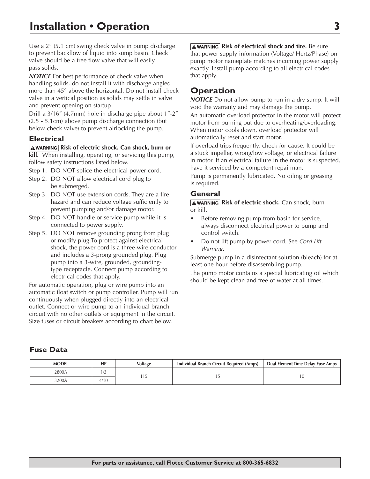Use a 2" (5.1 cm) swing check valve in pump discharge to prevent backflow of liquid into sump basin. Check valve should be a free flow valve that will easily pass solids.

**NOTICE** For best performance of check valve when handling solids, do not install it with discharge angled more than 45° above the horizontal. Do not install check valve in a vertical position as solids may settle in valve and prevent opening on startup.

Drill a 3/16" (4.7mm) hole in discharge pipe about 1"-2" (2.5 - 5.1cm) above pump discharge connection (but below check valve) to prevent airlocking the pump.

#### **Electrical**

**AWARNING Risk of electric shock. Can shock, burn or kill.** When installing, operating, or servicing this pump, follow safety instructions listed below.

- Step 1. DO NOT splice the electrical power cord.
- Step 2. DO NOT allow electrical cord plug to be submerged.
- Step 3. DO NOT use extension cords. They are a fire hazard and can reduce voltage sufficiently to prevent pumping and/or damage motor.
- Step 4. DO NOT handle or service pump while it is connected to power supply.
- Step 5. DO NOT remove grounding prong from plug or modify plug.To protect against electrical shock, the power cord is a three-wire conductor and includes a 3-prong grounded plug. Plug pump into a 3-wire, grounded, groundingtype receptacle. Connect pump according to electrical codes that apply.

For automatic operation, plug or wire pump into an automatic float switch or pump controller. Pump will run continuously when plugged directly into an electrical outlet. Connect or wire pump to an individual branch circuit with no other outlets or equipment in the circuit. Size fuses or circuit breakers according to chart below.

**AWARNING Risk of electrical shock and fire.** Be sure that power supply information (Voltage/ Hertz/Phase) on pump motor nameplate matches incoming power supply exactly. Install pump according to all electrical codes that apply.

# **Operation**

*NOTICE* Do not allow pump to run in a dry sump. It will void the warranty and may damage the pump.

An automatic overload protector in the motor will protect motor from burning out due to overheating/overloading. When motor cools down, overload protector will automatically reset and start motor.

If overload trips frequently, check for cause. It could be a stuck impeller, wrong/low voltage, or electrical failure in motor. If an electrical failure in the motor is suspected, have it serviced by a competent repairman.

Pump is permanently lubricated. No oiling or greasing is required.

#### **General**

**AWARNING Risk of electric shock.** Can shock, burn or kill.

- Before removing pump from basin for service, always disconnect electrical power to pump and control switch.
- Do not lift pump by power cord. See *Cord Lift Warning*.

Submerge pump in a disinfectant solution (bleach) for at least one hour before disassembling pump.

The pump motor contains a special lubricating oil which should be kept clean and free of water at all times.

### **Fuse Data**

| <b>MODEL</b> | НP   | <b>Voltage</b> | Individual Branch Circuit Required (Amps) | Dual Element Time Delay Fuse Amps |
|--------------|------|----------------|-------------------------------------------|-----------------------------------|
| 2800A        |      |                |                                           |                                   |
| 3200A        | 4/10 |                |                                           |                                   |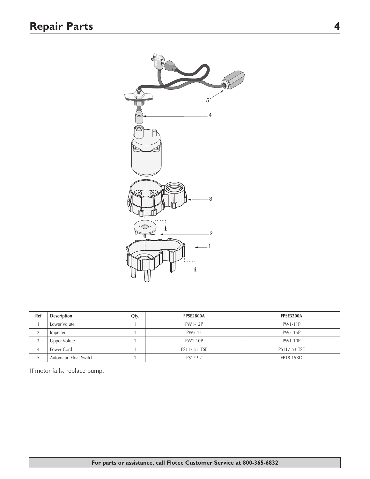

| Ref | <b>Description</b>     | Qty. | <b>FPSE2800A</b> | <b>FPSE3200A</b> |
|-----|------------------------|------|------------------|------------------|
|     | Lower Volute           |      | PW1-12P          | PW1-11P          |
|     | Impeller               |      | PW5-13           | <b>PW5-15P</b>   |
|     | Upper Volute           |      | <b>PW1-10P</b>   | <b>PW1-10P</b>   |
|     | Power Cord             |      | PS117-51-TSE     | PS117-53-TSE     |
|     | Automatic Float Switch |      | PS17-92          | FP18-15BD        |

If motor fails, replace pump.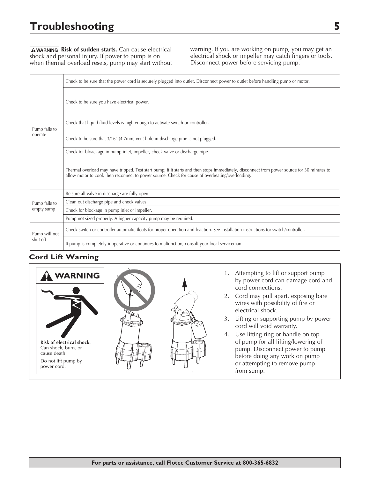# **Troubleshooting 5**

**AWARNING Risk of sudden starts.** Can cause electrical shock and personal injury. If power to pump is on when thermal overload resets, pump may start without warning. If you are working on pump, you may get an electrical shock or impeller may catch fingers or tools. Disconnect power before servicing pump.

|                          | Check to be sure that the power cord is securely plugged into outlet. Disconnect power to outlet before handling pump or motor.                                                                                                                 |
|--------------------------|-------------------------------------------------------------------------------------------------------------------------------------------------------------------------------------------------------------------------------------------------|
|                          | Check to be sure you have electrical power.                                                                                                                                                                                                     |
|                          | Check that liquid fluid levels is high enough to activate switch or controller.                                                                                                                                                                 |
| Pump fails to<br>operate | Check to be sure that 3/16" (4.7mm) vent hole in discharge pipe is not plugged.                                                                                                                                                                 |
|                          | Check for bloackage in pump inlet, impeller, check valve or discharge pipe.                                                                                                                                                                     |
|                          | Thermal overload may have tripped. Test start pump; if it starts and then stops immediately, disconnect from power source for 30 minutes to<br>allow motor to cool, then reconnect to power source. Check for cause of overheating/overloading. |
|                          | Be sure all valve in discharge are fully open.                                                                                                                                                                                                  |
| Pump fails to            | Clean out discharge pipe and check valves.                                                                                                                                                                                                      |
| empty sump               | Check for blockage in pump inlet or impeller.                                                                                                                                                                                                   |
|                          | Pump not sized properly. A higher capacity pump may be required.                                                                                                                                                                                |
| Pump will not            | Check switch or controller automatic floats for proper operation and loaction. See installation instructions for switch/controller.                                                                                                             |
| shut off                 | If pump is completely inoperative or continues to malfunction, consult your local serviceman.                                                                                                                                                   |

#### **Cord Lift Warning**





- 1. Attempting to lift or support pump by power cord can damage cord and cord connections.
- 2. Cord may pull apart, exposing bare wires with possibility of fire or electrical shock.
- 3. Lifting or supporting pump by power cord will void warranty.
- 4. Use lifting ring or handle on top of pump for all lifting/lowering of pump. Disconnect power to pump before doing any work on pump or attempting to remove pump from sump.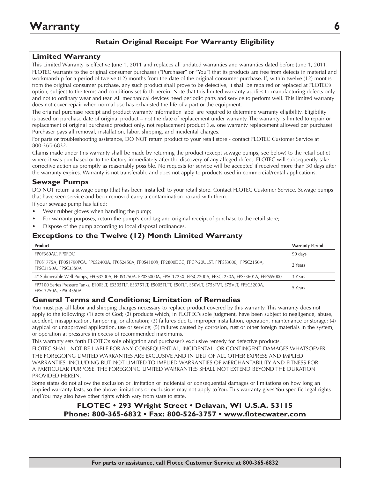### **Retain Original Receipt For Warranty Eligibility**

#### **Limited Warranty**

This Limited Warranty is effective June 1, 2011 and replaces all undated warranties and warranties dated before June 1, 2011. FLOTEC warrants to the original consumer purchaser ("Purchaser" or "You") that its products are free from defects in material and workmanship for a period of twelve (12) months from the date of the original consumer purchase. If, within twelve (12) months from the original consumer purchase, any such product shall prove to be defective, it shall be repaired or replaced at FLOTEC's option, subject to the terms and conditions set forth herein. Note that this limited warranty applies to manufacturing defects only and not to ordinary wear and tear. All mechanical devices need periodic parts and service to perform well. This limited warranty does not cover repair when normal use has exhausted the life of a part or the equipment.

The original purchase receipt and product warranty information label are required to determine warranty eligibility. Eligibility is based on purchase date of original product – not the date of replacement under warranty. The warranty is limited to repair or replacement of original purchased product only, not replacement product (i.e. one warranty replacement allowed per purchase). Purchaser pays all removal, installation, labor, shipping, and incidental charges.

For parts or troubleshooting assistance, DO NOT return product to your retail store - contact FLOTEC Customer Service at 800-365-6832.

Claims made under this warranty shall be made by returning the product (except sewage pumps, see below) to the retail outlet where it was purchased or to the factory immediately after the discovery of any alleged defect. FLOTEC will subsequently take corrective action as promptly as reasonably possible. No requests for service will be accepted if received more than 30 days after the warranty expires. Warranty is not transferable and does not apply to products used in commercial/rental applications.

### **Sewage Pumps**

DO NOT return a sewage pump (that has been installed) to your retail store. Contact FLOTEC Customer Service. Sewage pumps that have seen service and been removed carry a contamination hazard with them.

If your sewage pump has failed:

- Wear rubber gloves when handling the pump;
- For warranty purposes, return the pump's cord tag and original receipt of purchase to the retail store;
- Dispose of the pump according to local disposal ordinances.

### **Exceptions to the Twelve (12) Month Limited Warranty**

| <b>Product</b>                                                                                                                            | <b>Warranty Period</b> |
|-------------------------------------------------------------------------------------------------------------------------------------------|------------------------|
| FP0F360AC, FP0FDC                                                                                                                         | 90 days                |
| FP0S1775A, FP0S1790PCA, FP0S2400A, FP0S2450A, FP0S4100X, FP2800DCC, FPCP-20ULST, FPPSS3000, FPSC2150A,<br>FPSC3150A, FPSC3350A            | 2 Years                |
| 4" Submersible Well Pumps, FP0S3200A, FP0S3250A, FP0S6000A, FPSC1725X, FPSC2200A, FPSC2250A, FPSE3601A, FPPSS5000                         | 3 Years                |
| FP7100 Series Pressure Tanks, E100ELT, E3305TLT, E3375TLT, E5005TLTT, E50TLT, E50VLT, E75STVT, E75VLT, FPSC3200A,<br>FPSC3250A, FPSC4550A | 5 Years                |

#### **General Terms and Conditions; Limitation of Remedies**

You must pay all labor and shipping charges necessary to replace product covered by this warranty. This warranty does not apply to the following: (1) acts of God; (2) products which, in FLOTEC's sole judgment, have been subject to negligence, abuse, accident, misapplication, tampering, or alteration; (3) failures due to improper installation, operation, maintenance or storage; (4) atypical or unapproved application, use or service; (5) failures caused by corrosion, rust or other foreign materials in the system, or operation at pressures in excess of recommended maximums.

This warranty sets forth FLOTEC's sole obligation and purchaser's exclusive remedy for defective products.

FLOTEC SHALL NOT BE LIABLE FOR ANY CONSEQUENTIAL, INCIDENTAL, OR CONTINGENT DAMAGES WHATSOEVER. THE FOREGOING LIMITED WARRANTIES ARE EXCLUSIVE AND IN LIEU OF ALL OTHER EXPRESS AND IMPLIED WARRANTIES, INCLUDING BUT NOT LIMITED TO IMPLIED WARRANTIES OF MERCHANTABILITY AND FITNESS FOR A PARTICULAR PURPOSE. THE FOREGOING LIMITED WARRANTIES SHALL NOT EXTEND BEYOND THE DURATION PROVIDED HEREIN.

Some states do not allow the exclusion or limitation of incidental or consequential damages or limitations on how long an implied warranty lasts, so the above limitations or exclusions may not apply to You. This warranty gives You specific legal rights and You may also have other rights which vary from state to state.

### **FLOTEC • 293 Wright Street • Delavan, WI U.S.A. 53115 Phone: 800-365-6832 • Fax: 800-526-3757 • www.flotecwater.com**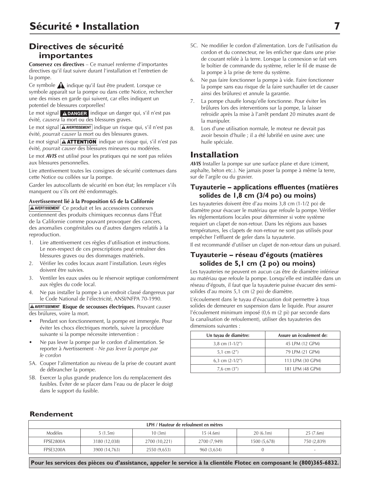# **Directives de sécurité importantes**

**Conservez ces directives** – Ce manuel renferme d'importantes directives qu'il faut suivre durant l'installation et l'entretien de la pompe.

Ce symbole  $\bigwedge$  indique qu'il faut être prudent. Lorsque ce symbole apparaît sur la pompe ou dans cette Notice, rechercher une des mises en garde qui suivent, car elles indiquent un potentiel de blessures corporelles!

Le mot signal **ADANGER** indique un danger qui, s'il n'est pas évité, *causera* la mort ou des blessures graves.

Le mot signal  $\boxed{\text{A}$  AVERTISSEMENT indique un risque qui, s'il n'est pas évité, *pourrait causer* la mort ou des blessures graves.

Le mot signal  $\Delta$  ATTENTION indique un risque qui, s'il n'est pas évité, *pourrait causer* des blessures mineures ou modérées.

Le mot *AVIS* est utilisé pour les pratiques qui ne sont pas reliées aux blessures personnelles.

Lire attentivement toutes les consignes de sécurité contenues dans cette Notice ou collées sur la pompe.

Garder les autocollants de sécurité en bon état; les remplacer s'ils manquent ou s'ils ont été endommagés.

**Avertissement lié à la Proposition 65 de la Californie**

A AVERTISSEMENT Ce produit et les accessoires connexes contiennent des produits chimiques reconnus dans l'État de la Californie comme pouvant provoquer des cancers, des anomalies congénitales ou d'autres dangers relatifs à la reproduction.

- 1. Lire attentivement ces règles d'utilisation et instructions. Le non-respect de ces prescriptions peut entraîner des blessures graves ou des dommages matériels.
- 2. Vérifier les codes locaux avant l'installation. Leurs règles doivent être suivies.
- 3. Ventiler les eaux usées ou le réservoir septique conformément aux règles du code local.
- 4. Ne pas installer la pompe à un endroit classé dangereux par le Code National de l'électricité, ANSI/NFPA 70-1990.

**A AVERTISSEMENT Risque de secousses électriques.** Pouvant causer des brúlures, voire la mort.

- Pendant son fonctionnement, la pompe est immergée. Pour éviter les chocs électriques mortels, suivre la procédure suivante si la pompe nécessite intervention :
- Ne pas lever la pompe par le cordon d'alimentation. Se reporter à Avertissement - *Ne pas lever la pompe par le cordon*
- 5A. Couper l'alimentation au niveau de la prise de courant avant de débrancher la pompe.
- 5B. Exercer la plus grande prudence lors du remplacement des fusibles. Éviter de se placer dans l'eau ou de placer le doigt dans le support du fusible.
- 5C. Ne modifier le cordon d'alimentation. Lors de l'utilisation du cordon et du connecteur, ne les enficher que dans une prise de courant reliée à la terre. Lorsque la connexion se fait vers le boîtier de commande du système, relier le fil de masse de la pompe à la prise de terre du système.
- 6. Ne pas faire fonctionner la pompe à vide. Faire fonctionner la pompe sans eau risque de la faire surchauffer (et de causer ainsi des brûlures) et annule la garantie.
- 7. La pompe chauffe lorsqu'elle fonctionne. Pour éviter les brûlures lors des interventions sur la pompe, la laisser refroidir après la mise à l'arrêt pendant 20 minutes avant de la manipuler.
- 8. Lors d'une utilisation normale, le moteur ne devrait pas avoir besoin d'huile ; il a été lubrifié en usine avec une huile spéciale.

## **Installation**

*AVIS* Installer la pompe sur une surface plane et dure (ciment, asphalte, béton etc.). Ne jamais poser la pompe à même la terre, sur de l'argile ou du gravier.

#### **Tuyauterie – applications effluentes (matières solides de 1,8 cm (3/4 po) ou moins)**

Les tuyauteries doivent être d'au moins 3,8 cm (1-1/2 po) de diamètre pour évacuer le matériau que refoule la pompe. Vérifier les réglementations locales pour déterminer si votre système requiert un clapet de non-retour. Dans les régions aux basses températures, les clapets de non-retour ne sont pas utilisés pour empêcher l'effluent de geler dans la tuyauterie.

Il est recommandé d'utiliser un clapet de non-retour dans un puisard.

### **Tuyauterie – réseau d'égouts (matières solides de 5,1 cm (2 po) ou moins)**

Les tuyauteries ne peuvent en aucun cas être de diamètre inférieur au matériau que refoule la pompe. Lorsqu'elle est installée dans un réseau d'égouts, il faut que la tuyauterie puisse évacuer des semisolides d'au moins 5,1 cm (2 po) de diamètre.

L'écoulement dans le tuyau d'évacuation doit permettre à tous solides de demeurer en suspension dans le liquide. Pour assurer l'écoulement minimum imposé (0,6 m (2 pi) par seconde dans la canalisation de refoulement), utiliser des tuyauteries des dimensions suivantes :

| Un tuyau de diamètre: | Assure un ècoulement de: |
|-----------------------|--------------------------|
| 3,8 cm $(1-1/2'')$    | 45 LPM (12 GPM)          |
| 5,1 cm $(2'')$        | 79 LPM (21 GPM)          |
| 6,3 cm $(2-1/2'')$    | 113 LPM (30 GPM)         |
| 7,6 cm $(3'')$        | 181 LPM (48 GPM)         |

### **Rendement**

| LPH / Hauteur de refoulment en mètres |               |               |              |              |             |
|---------------------------------------|---------------|---------------|--------------|--------------|-------------|
| <b>Modèles</b>                        | 5(1.5m)       | 10(3m)        | 15 (4.6m)    | 20(6.1m)     | 25(7.6m)    |
| FPSE2800A                             | 3180 (12,038) | 2700 (10,221) | 2700 (7,949) | 1500 (5,678) | 750 (2,839) |
| <b>FPSE3200A</b>                      | 3900 (14,763) | 2550 (9,653)  | 960 (3,634)  |              |             |

**Pour les services des pièces ou d'assistance, appeler le service à la clientèle Flotec en composant le (800)365-6832.**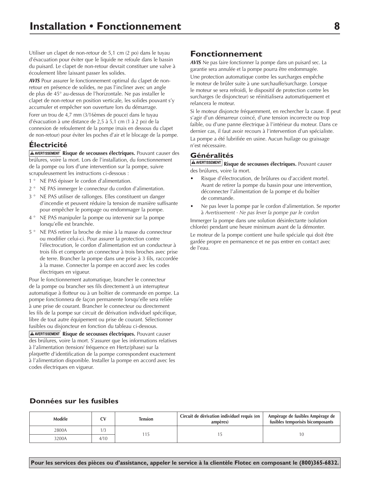Utiliser un clapet de non-retour de 5,1 cm (2 po) dans le tuyau d'évacuation pour éviter que le liquide ne refoule dans le bassin du puisard. Le clapet de non-retour devrait constituer une valve à écoulement libre laissant passer les solides.

*AVIS* Pour assurer le fonctionnement optimal du clapet de nonretour en présence de solides, ne pas l'incliner avec un angle de plus de 45° au-dessus de l'horizontale. Ne pas installer le clapet de non-retour en position verticale, les solides pouvant s'y accumuler et empêcher son ouverture lors du démarrage.

Forer un trou de 4,7 mm (3/16èmes de pouce) dans le tuyau d'évacuation à une distance de 2,5 à 5,1 cm (1 à 2 po) de la connexion de refoulement de la pompe (mais en dessous du clapet de non-retour) pour éviter les poches d'air et le blocage de la pompe.

### **Électricité**

**A AVERTISSEMENT** Risque de secousses électriques. Pouvant causer des brúlures, voire la mort. Lors de l'installation, du fonctionnement de la pompe ou lors d'une intervention sur la pompe, suivre scrupuleusement les instructions ci-dessous :

- 1 ° NE PAS épisser le cordon d'alimentation.
- 2 ° NE PAS immerger le connecteur du cordon d'alimentation.
- 3 ° NE PAS utiliser de rallonges. Elles constituent un danger d'incendie et peuvent réduire la tension de manière suffisante pour empêcher le pompage ou endommager la pompe.
- 4 ° NE PAS manipuler la pompe ou intervenir sur la pompe lorsqu'elle est branchée.
- 5 ° NE PAS retirer la broche de mise à la masse du connecteur ou modifier celui-ci. Pour assurer la protection contre l'électrocution, le cordon d'alimentation est un conducteur à trois fils et comporte un connecteur à trois broches avec prise de terre. Brancher la pompe dans une prise à 3 fils, raccordée à la masse. Connecter la pompe en accord avec les codes électriques en vigueur.

Pour le fonctionnement automatique, brancher le connecteur de la pompe ou brancher ses fils directement à un interrupteur automatique à flotteur ou à un boîtier de commande en pompe. La pompe fonctionnera de façon permanente lorsqu'elle sera reliée à une prise de courant. Brancher le connecteur ou directement les fils de la pompe sur circuit de dérivation individuel spécifique, libre de tout autre équipement ou prise de courant. Sélectionner fusibles ou disjoncteur en fonction du tableau ci-dessous.

**A AVERTISSEMENT Risque de secousses électriques.** Pouvant causer des brúlures, voire la mort. S'assurer que les informations relatives à l'alimentation (tension/ fréquence en Hertz/phase) sur la plaquette d'identification de la pompe correspondent exactement à l'alimentation disponible. Installer la pompe en accord avec les codes électriques en vigueur.

## **Fonctionnement**

*AVIS* Ne pas faire fonctionner la pompe dans un puisard sec. La garantie sera annulée et la pompe pourra être endommagée.

Une protection automatique contre les surcharges empêche le moteur de brûler suite à une surchauffe/surcharge. Lorsque le moteur se sera refroidi, le dispositif de protection contre les surcharges (le disjoncteur) se réinitialisera automatiquement et relancera le moteur.

Si le moteur disjoncte fréquemment, en rechercher la cause. Il peut s'agir d'un démarreur coincé, d'une tension incorrecte ou trop faible, ou d'une panne électrique à l'intérieur du moteur. Dans ce dernier cas, il faut avoir recours à l'intervention d'un spécialiste. La pompe a été lubrifiée en usine. Aucun huilage ou graissage n'est nécessaire.

### **Généralités**

**Risque de secousses électriques.** Pouvant causer des brúlures, voire la mort.

- Risque d'électrocution, de brûlures ou d'accident mortel. Avant de retirer la pompe du bassin pour une intervention, déconnecter l'alimentation de la pompe et du boîtier de commande.
- Ne pas lever la pompe par le cordon d'alimentation. Se reporter à *Avertissement - Ne pas lever la pompe par le cordon*

Immerger la pompe dans une solution désinfectante (solution chlorée) pendant une heure minimum avant de la démonter. Le moteur de la pompe contient une huile spéciale qui doit être gardée propre en permanence et ne pas entrer en contact avec de l'eau.

### **Données sur les fusibles**

| Modèle |      | Tension | Circuit de dèrivation individuel requis (en<br>ampères) | Ampèrage de fusibles Ampèrage de<br>fusibles temporisès bicomposants |
|--------|------|---------|---------------------------------------------------------|----------------------------------------------------------------------|
| 2800A  |      |         |                                                         |                                                                      |
| 3200A  | 4/10 |         |                                                         |                                                                      |

**Pour les services des pièces ou d'assistance, appeler le service à la clientèle Flotec en composant le (800)365-6832.**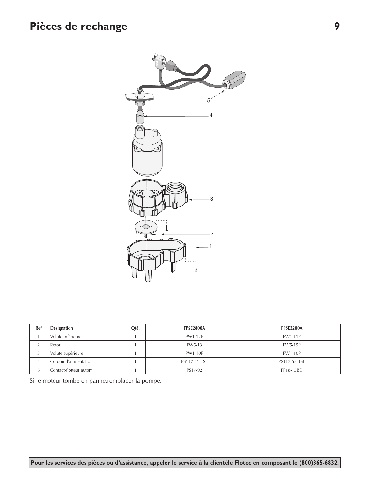

| Ref | Désignation            | Qté. | <b>FPSE2800A</b> | <b>FPSE3200A</b> |
|-----|------------------------|------|------------------|------------------|
|     | Volute inférieure      |      | <b>PW1-12P</b>   | PW1-11P          |
|     | Rotor                  |      | PW5-13           | PW5-15P          |
|     | Volute supérieure      |      | <b>PW1-10P</b>   | <b>PW1-10P</b>   |
| 4   | Cordon d'alimentation  |      | PS117-51-TSE     | PS117-53-TSE     |
|     | Contact-flotteur autom |      | PS17-92          | FP18-15BD        |

Si le moteur tombe en panne,remplacer la pompe.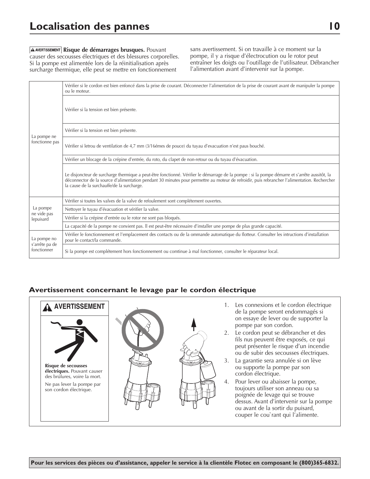**A AVERTISSEMENT** Risque de démarrages brusques. Pouvant causer des secousses électriques et des blessures corporelles. Si la pompe est alimentée lors de la réinitialisation après surcharge thermique, elle peut se mettre en fonctionnement

sans avertissement. Si on travaille à ce moment sur la pompe, il y a risque d'électrocution ou le rotor peut entraîner les doigts ou l'outillage de l'utilisateur. Débrancher l'alimentation avant d'intervenir sur la pompe.

|                               | Vérifier si le cordon est bien enfoncé dans la prise de courant. Déconnecter l'alimentation de la prise de courant avant de manipuler la pompe<br>ou le moteur.                                                                                                                                                                              |
|-------------------------------|----------------------------------------------------------------------------------------------------------------------------------------------------------------------------------------------------------------------------------------------------------------------------------------------------------------------------------------------|
|                               | Vérifier si la tension est bien présente.                                                                                                                                                                                                                                                                                                    |
| La pompe ne                   | Vérifier si la tension est bien présente.                                                                                                                                                                                                                                                                                                    |
| fonctionne pas                | Vérifier si letrou de ventilation de 4,7 mm (3/16 émes de pouce) du tuyau d'evacuation n'est paus bouché.                                                                                                                                                                                                                                    |
|                               | Vérifier un blocage de la crépine d'entrée, du roto, du clapet de non-retour ou du tuyau d'évacuation.                                                                                                                                                                                                                                       |
|                               | Le disjoncteur de surcharge thermique a peut-être fonctionné. Vérifier le démarrage de la pompe : si la pompe démarre et s'arrête aussitôt, la<br>déconnector de la source d'alimentation pendant 30 minutes pour permettre au moteur de refroidir, puis rebrancher l'alimentation. Rechercher<br>la cause de la surchauffe/de la surcharge. |
|                               | Vérifier si toutes les valves de la valve de refoulement sont complétement ouvertes.                                                                                                                                                                                                                                                         |
| La pompe                      | Nettoyer le tuyau d'évacuation et vérifier la valve.                                                                                                                                                                                                                                                                                         |
| ne vide pas<br>lepuisard      | Vérifier si la crépine d'entrée ou le rotor ne sont pas bloqués.                                                                                                                                                                                                                                                                             |
|                               | La capacité de la pompe ne convient pas. Il est peut-être nécessaire d'installer une pompe de plus grande capacité.                                                                                                                                                                                                                          |
| La pompe no                   | Vérifier le fonctionnement et l'emplacement des contacts ou de la ommande automatique du flotteur. Consulter les intructions d'installation<br>pour le contact/la commande.                                                                                                                                                                  |
| s'arrête pa de<br>fonctionner | Si la pompe est complétement hors fonctionnement ou comtinue à mal fonctionner, consulter le réparateur local.                                                                                                                                                                                                                               |

### **Avertissement concernant le levage par le cordon électrique**

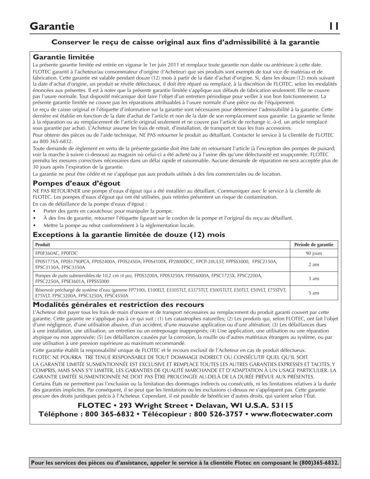# **Garantie 11**

### **Conserver le reçu de caisse original aux fins d'admissibilité à la garantie**

#### **Garantie limitée**

La présente garantie limitée est entrée en vigueur le 1er juin 2011 et remplace toute garantie non datée ou antérieure à cette date.

FLOTEC garantit à l'acheteur/au consommateur d'origine (l'Acheteur) que ses produits sont exempts de tout vice de matériau et de fabrication. Cette garantie est valable pendant douze (12) mois à partir de la date d'achat d'origine. Si, dans les douze (12) mois suivant la date d'achat d'origine, un produit se révèle défectueux, il doit être réparé ou remplacé, à la discrétion de FLOTEC, selon les modalités énoncées aux présentes. Il est à noter que la présente garantie limitée s'applique aux défauts de fabrication seulement. Elle ne couvre pas l'usure normale. Tout dispositif mécanique doit faire l'objet d'un entretien périodique pour veiller à son bon fonctionnement. La présente garantie limitée ne couvre pas les réparations attribuables à l'usure normale d'une pièce ou de l'équipement.

Le reçu de caisse original et l'étiquette d'information sur la garantie sont nécessaires pour déterminer l'admissibilité à la garantie. Cette dernière est établie en fonction de la date d'achat de l'article et non de la date de son remplacement sous garantie. La garantie se limite à la réparation ou au remplacement de l'article original seulement et ne couvre pas l'article de rechange (c.-à-d. un article remplacé sous garantie par achat). L'Acheteur assume les frais de retrait, d'installation, de transport et tous les frais accessoires.

Pour obtenir des pièces ou de l'aide technique, NE PAS retourner le produit au détaillant. Contacter le service à la clientèle de FLOTEC au 800 365-6832.

Toute demande de règlement en vertu de la présente garantie doit être faite en retournant l'article (à l'exception des pompes de puisard; voir la marche à suivre ci-dessous) au magasin où celui-ci a été acheté ou à l'usine dès qu'une défectuosité est soupçonnée. FLOTEC prendra les mesures correctives nécessaires dans un délai rapide et raisonnable. Aucune demande de réparation ne sera acceptée plus de 30 jours après l'expiration de la garantie.

La garantie ne peut être cédée et ne s'applique pas aux produits utilisés à des fins commerciales ou de location.

### **Pompes d'eaux d'égout**

NE PAS RETOURNER une pompe d'eaux d'égout (qui a été installée) au détaillant. Communiquer avec le service à la clientèle de FLOTEC. Les pompes d'eaux d'égout qui ont été utilisées, puis retirées présentent un risque de contamination.

En cas de défaillance de la pompe d'eaux d'égout :

- Porter des gants en caoutchouc pour manipuler la pompe.
- À des fins de garantie, retourner l'étiquette figurant sur le cordon de la pompe et l'original du reçu au détaillant.
- Mettre la pompe au rebut conformément à la réglementation locale.

#### **Exceptions à la garantie limitée de douze (12) mois**

| Produit                                                                                                                                                          | Période de garantie |
|------------------------------------------------------------------------------------------------------------------------------------------------------------------|---------------------|
| FP0F360AC, FP0FDC                                                                                                                                                | 90 jours            |
| FP0S1775A, FP0S1790PCA, FP0S2400A, FP0S2450A, FP0S4100X, FP2800DCC, FPCP-20ULST, FPPSS3000, FPSC2150A,<br>FPSC3150A, FPSC3350A                                   | 2 ans               |
| Pompes de puits submersibles de 10,2 cm (4 po), FP0S3200A, FP0S3250A, FP0S6000A, FPSC1725X, FPSC2200A,<br>FPSC2250A, FPSE3601A, FPPSS5000                        | 3 ans               |
| Réservoir préchargé de système d'eau (gamme FP7100), E100ELT, E3305TLT, E3375TLT, E5005TLTT, E50TLT, E50VLT, E75STVT,<br>E75VLT, FPSC3200A, FPSC3250A, FPSC4550A | 5 ans               |

#### **Modalités générales et restriction des recours**

L'Acheteur doit payer tous les frais de main d'œuvre et de transport nécessaires au remplacement du produit garanti couvert par cette garantie. Cette garantie ne s'applique pas à ce qui suit : (1) Les catastrophes naturelles; (2) Les produits qui, selon FLOTEC, ont fait l'objet d'une négligence, d'une utilisation abusive, d'un accident, d'une mauvaise application ou d'une altération; (3) Les défaillances dues à une installation, une utilisation, un entretien ou un entreposage inappropriés; (4) Une application, une utilisation ou une réparation atypique ou non approuvée; (5) Les défaillances causées par la corrosion, la rouille ou d'autres matériaux étrangers au système, ou par une utilisation à une pression supérieure au maximum recommandé.

Cette garantie établit la responsabilité unique de FLOTEC et le recours exclusif de l'Acheteur en cas de produit défectueux.

FLOTEC NE POURRA TRE TENUE RESPONSABLE DE TOUT DOMMAGE INDIRECT OU CONSÉCUTIF QUEL QU'IL SOIT. LA GARANTIE LIMITÉE SUSMENTIONNÉE EST EXCLUSIVE ET REMPLACE TOUTES LES AUTRES GARANTIES EXPRESSES ET TACITES, Y COMPRIS, MAIS SANS S'Y LIMITER, LES GARANTIES DE QUALITÉ MARCHANDE ET D'ADAPTATION À UN USAGE PARTICULIER. LA GARANTIE LIMITÉE SUSMENTIONNÉE NE DOIT PAS ÊTRE PROLONGÉE AU-DELÀ DE LA DURÉE PRÉVUE AUX PRÉSENTES.

Certains États ne permettent pas l'exclusion ou la limitation des dommages indirects ou consécutifs, ni les limitations relatives à la durée des garanties implicites. Par conséquent, il se peut que les limitations ou les exclusions ci-dessus ne s'appliquent pas. Cette garantie procure des droits juridiques précis à l'Acheteur. Cependant, il est possible de bénéficier d'autres droits, qui varient selon l'État.

### **FLOTEC • 293 Wright Street • Delavan, WI U.S.A. 53115 Téléphone : 800 365-6832 • Télécopieur : 800 526-3757 • www.flotecwater.com**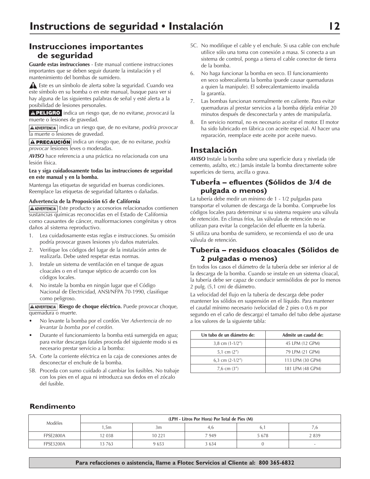# **Instrucciones importantes de seguridad**

**Guarde estas instrucciones** - Este manual contiene instrucciones importantes que se deben seguir durante la instalación y el mantenimiento del bombas de sumidero.

 Este es un símbolo de alerta sobre la seguridad. Cuando vea este símbolo en su bomba o en este manual, busque para ver si hay alguna de las siguientes palabras de señal y esté alerta a la posibilidad de lesiones personales.

APELIGRO indica un riesgo que, de no evitarse, *provocará* la muerte o lesiones de gravedad.

**A ADVERTENCIA** indica un riesgo que, de no evitarse, *podría provocar* la muerte o lesiones de gravedad.

**A PRECAUCIÓN** indica un riesgo que, de no evitarse, *podría provocar* lesiones leves o moderadas.

*AVISO* hace referencia a una práctica no relacionada con una lesión física.

#### **Lea y siga cuidadosamente todas las instrucciones de seguridad en este manual y en la bomba.**

Mantenga las etiquetas de seguridad en buenas condiciones. Reemplace las etiquetas de seguridad faltantes o dañadas.

#### **Advertencia de la Proposición 65 de California**

 $A$  ADVERTENCIA Este producto y accesorios relacionados contienen sustancias químicas reconocidas en el Estado de California como causantes de cáncer, malformaciones congénitas y otros daños al sistema reproductivo.

- 1. Lea cuidadosamente estas reglas e instrucciones. Su omisión podría provocar graves lesiones y/o daños materiales.
- 2. Verifique los códigos del lugar de la instalación antes de realizarla. Debe usted respetar estas normas.
- 3. Instale un sistema de ventilación en el tanque de aguas cloacales o en el tanque séptico de acuerdo con los códigos locales.
- 4. No instale la bomba en ningún lugar que el Código Nacional de Electricidad, ANSI/NFPA 70-1990, clasifique como peligroso.

**Riesgo de choque eléctrico.** Puede provocar choque, quemadura o muerte.

- • No levante la bomba por el cordón. Ver *Advertencia de no levantar la bomba por el cordón.*
- Durante el funcionamiento la bomba está sumergida en agua; para evitar descargas fatales proceda del siguiente modo si es necesario prestar servicio a la bomba:
- 5A. Corte la corriente eléctrica en la caja de conexiones antes de desconectar el enchufe de la bomba.
- 5B. Proceda con sumo cuidado al cambiar los fusibles. No trabaje con los pies en el agua ni introduzca sus dedos en el zócalo del fusible.
- 5C. No modifique el cable y el enchufe. Si usa cable con enchufe utilice sólo una toma con conexión a masa. Si conecta a un sistema de control, ponga a tierra el cable conector de tierra de la bomba.
- 6. No haga funcionar la bomba en seco. El funcionamiento en seco sobrecalienta la bomba (puede causar quemaduras a quien la manipule). El sobrecalentamiento invalida la garantía.
- 7. Las bombas funcionan normalmente en caliente. Para evitar quemaduras al prestar servicios a la bomba déjela enfriar 20 minutos después de desconectarla y antes de manipularla.
- 8. En servicio normal, no es necesario aceitar el motor. El motor ha sido lubricado en fábrica con aceite especial. Al hacer una reparación, reemplace este aceite por aceite nuevo.

### **Instalación**

*AVISO* Instale la bomba sobre una superficie dura y nivelada (de cemento, asfalto, etc.) Jamás instale la bomba directamente sobre superficies de tierra, arcilla o grava.

### **TuberÍa – efluentes (Sólidos de 3/4 de pulgada o menos)**

La tubería debe medir un mínimo de 1 - 1/2 pulgadas para transportar el volumen de descarga de la bomba. Compruebe los códigos locales para determinar si su sistema requiere una válvula de retención. En climas fríos, las válvulas de retención no se utilizan para evitar la congelación del efluente en la tubería. Si utiliza una bomba de sumidero, se recomienda el uso de una válvula de retención.

#### **Tubería – residuos cloacales (Sólidos de 2 pulgadas o menos)**

En todos los casos el diámetro de la tubería debe ser inferior al de la descarga de la bomba. Cuando se instale en un sistema cloacal, la tubería debe ser capaz de conducir semisólidos de por lo menos 2 pulg. (5,1 cm) de diámetro.

La velocidad del flujo en la tubería de descarga debe poder mantener los sólidos en suspensión en el líquido. Para mantener el caudal mínimo necesario (velocidad de 2 pies o 0,6 m por segundo en el caño de descarga) el tamaño del tubo debe ajustarse a los valores de la siguiente tabla:

| Un tubo de un diámetro de: | Admite un caudal de: |
|----------------------------|----------------------|
| 3,8 cm $(1-1/2'')$         | 45 LPM (12 GPM)      |
| 5,1 cm $(2'')$             | 79 LPM (21 GPM)      |
| 6.3 cm $(2-1/2'')$         | 113 LPM (30 GPM)     |
| 7,6 cm $(3'')$             | 181 LPM (48 GPM)     |

### **Rendimento**

| Modèles          | (LPH - Litros Por Hora) Por Total de Pies (M) |        |       |      |         |  |
|------------------|-----------------------------------------------|--------|-------|------|---------|--|
|                  | ∣,5m                                          | 3m     | 4.6   | O.   |         |  |
| <b>FPSE2800A</b> | 12 038                                        | 10 221 | 7 949 | 5678 | 2 8 3 9 |  |
| <b>FPSE3200A</b> | 13763                                         | 9653   | 634   |      |         |  |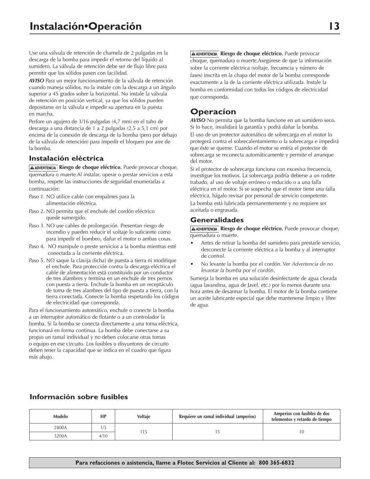Use una válvula de retención de charnela de 2 pulgadas en la descarga de la bomba para impedir el retorno del líquido al sumidero. La válvula de retención debe ser de flujo libre para permitir que los sólidos pasen con facilidad.

*AVISO* Para un mejor funcionamiento de la válvula de retención cuando maneja sólidos, no la instale con la descarga a un ángulo superior a 45 grados sobre la horizontal. No instale la válvula de retención en posición vertical, ya que los sólidos pueden depositarse en la válvula e impedir su apertura en la puesta en marcha.

Perfore un agujero de 3/16 pulgadas (4,7 mm) en el tubo de descarga a una distancia de 1 a 2 pulgadas (2,5 a 5,1 cm) por encima de la conexión de descarga de la bomba (pero por debajo de la válvula de retención) para impedir el bloqueo por aire de la bomba.

#### **Instalación eléctrica**

**A ADVERTENCIA** Riesgo de choque eléctrico. Puede provocar choque, quemadura o muerte.Al instalar, operar o prestar servicios a esta bomba, respete las instrucciones de seguridad enumeradas a continuación:

- Paso 1. NO utilice cable con empalmes para la alimentación eléctrica.
- Paso 2. NO permita que el enchufe del cordón eléctrico quede sumergido.
- Paso 3. NO use cables de prolongación. Presentan riesgo de incendio y pueden reducir el voltaje lo suficiente como para impedir el bombeo, dañar el motor o ambas cosas.
- Paso 4. NO manipule o preste servicios a la bomba mientras esté conectada a la corriente eléctrica.
- Paso 5. NO saque la clavija (ficha) de puesta a tierra ni modifique el enchufe. Para protección contra la descarga eléctrica el cable de alimentación está constituido por un conductor de tres alambres y termina en un enchufe de tres pernos con puesta a tierra. Enchufe la bomba en un receptáculo de toma de tres alambres del tipo de puesta a tierra, con la tierra conectada. Conecte la bomba respetando los códigos de electricidad que corresponda.

Para el funcionamiento automático, enchufe o conecte la bomba a un interruptor automático de flotante o a un controlador la bomba. Si la bomba se conecta directamente a una toma eléctrica, funcionará en forma continua. La bomba debe conectarse a su propio un ramal individual y no deben colocarse otras tomas o equipo en ese circuito. Los fusibles o disyuntores de circuito deben tener la capacidad que se indica en el cuadro que figura más abajo.

**A ADVERTENCIA** Riesgo de choque eléctrico. Puede provocar choque, quemadura o muerte.Asegúrese de que la información sobre la corriente eléctrica (voltaje, frecuencia y número de fases) inscrita en la chapa del motor de la bomba corresponde exactamente a la de la corriente eléctrica utilizada. Instale la bomba en conformidad con todos los códigos de electricidad que corresponda.

## **Operacíon**

*AVISO* No permita que la bomba funcione en un sumidero seco. Si lo hace, invalidará la garantía y podrá dañar la bomba. El uso de un protector automático de sobrecarga en el motor lo protegerá contra el sobrecalentamiento o la sobrecarga e impedirá que éste se queme. Cuando el motor se enfría el protector de sobrecarga se reconecta automáticamente y permite el arranque del motor.

Si el protector de sobrecarga funciona con excesiva frecuencia, investigue los motivos. La sobrecarga podría deberse a un rodete trabado, al uso de voltaje erróneo o reducido o a una falla eléctrica en el motor. Si se sospecha que el motor tiene una falla eléctrica, hágalo revisar por personal de servicio competente. La bomba está lubricada permanentemente y no requiere ser aceitada o engrasada.

#### **Generalidades**

**Riesgo de choque eléctrico.** Puede provocar choque, quemadura o muerte.

- Antes de retirar la bomba del sumidero para prestarle servicio, desconecte la corriente eléctrica a la bomba y al interruptor de control.
- • No levante la bomba por el cordón. Ver *Advertencia de no levantar la bomba por el cordón*.

Sumerja la bomba en una solución desinfectante de agua clorada (agua lavandina, agua de Javel, etc.) por lo menos durante una hora antes de desarmar la bomba. El motor de la bomba contiene un aceite lubricante especial que debe mantenerse limpio y libre de agua.

#### **Información sobre fusibles**

| Modelo | HP   | Voltaje | Requiere un ramal individual (amperios) | Amperios con fusibles de dos<br>telementos y retardo de tiempo |  |
|--------|------|---------|-----------------------------------------|----------------------------------------------------------------|--|
| 2800A  |      |         |                                         | I O                                                            |  |
| 3200A  | 4/10 |         |                                         |                                                                |  |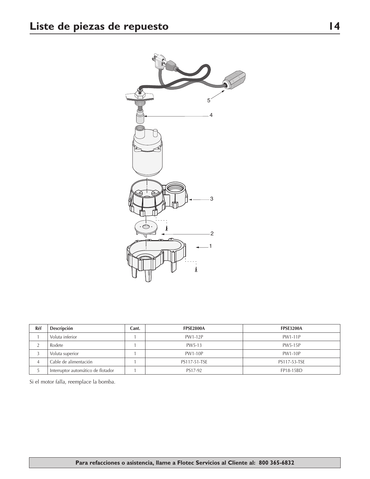

| Réf | Descripción                        | Cant. | <b>FPSE2800A</b> | <b>FPSE3200A</b> |
|-----|------------------------------------|-------|------------------|------------------|
|     | Voluta inferior                    |       | PW1-12P          | <b>PW1-11P</b>   |
|     | Rodete                             |       | PW5-13           | <b>PW5-15P</b>   |
|     | Voluta superior                    |       | PW1-10P          | <b>PW1-10P</b>   |
| 4   | Cable de alimentación              |       | PS117-51-TSE     | PS117-53-TSE     |
|     | Interruptor automático de flotador |       | PS17-92          | FP18-15BD        |

Si el motor falla, reemplace la bomba.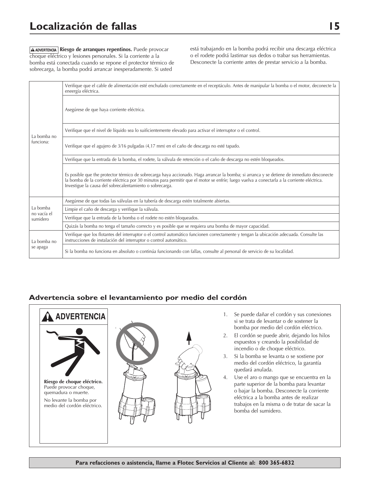# **Localización de fallas 15**

**A ADVERTENCIA** Riesgo de arranques repentinos. Puede provocar choque eléctrico y lesiones personales. Si la corriente a la bomba está conectada cuando se repone el protector térmico de sobrecarga, la bomba podrá arrancar inesperadamente. Si usted

está trabajando en la bomba podrá recibir una descarga eléctrica o el rodete podrá lastimar sus dedos o trabar sus herramientas. Desconecte la corriente antes de prestar servicio a la bomba.

|                          | Verifique que el cable de alimentación esté enchufado correctamente en el receptáculo. Antes de manipular la bomba o el motor, deconecte la<br>eneergía eléctrica.                                                                                                                                                                                    |
|--------------------------|-------------------------------------------------------------------------------------------------------------------------------------------------------------------------------------------------------------------------------------------------------------------------------------------------------------------------------------------------------|
| La bomba no<br>funciona: | Asegúrese de que haya corriente eléctrica.                                                                                                                                                                                                                                                                                                            |
|                          | Verifique que el nivel de líquido sea lo suificientemente elevado para activar el interruptor o el control.                                                                                                                                                                                                                                           |
|                          | Verifique que el agujero de 3/16 pulgadas (4,17 mm) en el caño de descarga no esté tapado.                                                                                                                                                                                                                                                            |
|                          | Verifique que la entrada de la bomba, el rodete, la válvula de retención o el caño de descarga no estén bloqueados.                                                                                                                                                                                                                                   |
|                          | Es posible que the protector térmico de sobrecarga haya accionado. Haga arrancar la bomba; si arranca y se detiene de inmediato desconecte<br>la bomba de la corriente eléctrica por 30 minutos para permitir que el motor se enfríe; luego vuelva a conectarla a la corriente eléctrica.<br>Investigue la causa del sobrecalentamiento o sobrecarga. |
|                          | Asegúrese de que todas las válvulas en la tubería de descarga estén totalmente abiertas.                                                                                                                                                                                                                                                              |
| La bomba<br>no vacía el  | Limpie el caño de descarga y verifique la válvula.                                                                                                                                                                                                                                                                                                    |
| sumidero                 | Verifique que la entrada de la bomba o el rodete no estén bloqueados.                                                                                                                                                                                                                                                                                 |
|                          | Quizás la bomba no tenga el tamaño correcto y es posible que se requiera una bomba de mayor capacidad.                                                                                                                                                                                                                                                |
| La bomba no              | Verifique que los flotantes del interruptor o el control automático funcionen correctamente y tengan la ubicación adecuada. Consulte las<br>instrucciones de instalación del interruptor o control automático.                                                                                                                                        |
| se apaga                 | Si la bomba no funciona en absoluto o continúa funcionando con fallas, consulte al personal de servicio de su localidad.                                                                                                                                                                                                                              |

### **Advertencia sobre el levantamiento por medio del cordón**